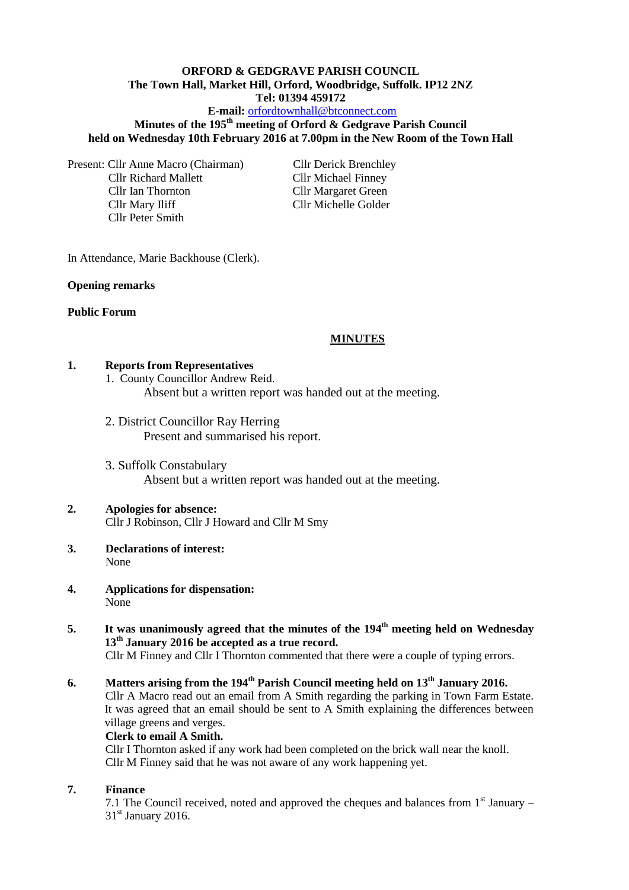# **ORFORD & GEDGRAVE PARISH COUNCIL The Town Hall, Market Hill, Orford, Woodbridge, Suffolk. IP12 2NZ Tel: 01394 459172**

## **E-mail:** [orfordtownhall@btconnect.com](mailto:orfordtownhall@btconnect.com)

# **Minutes of the 195th meeting of Orford & Gedgrave Parish Council held on Wednesday 10th February 2016 at 7.00pm in the New Room of the Town Hall**

Present: Cllr Anne Macro (Chairman) Cllr Derick Brenchley Cllr Richard Mallett Cllr Michael Finney Cllr Ian Thornton Cllr Margaret Green Cllr Mary Iliff Cllr Michelle Golder Cllr Peter Smith

In Attendance, Marie Backhouse (Clerk).

#### **Opening remarks**

#### **Public Forum**

#### **MINUTES**

#### **1. Reports from Representatives**

1. County Councillor Andrew Reid. Absent but a written report was handed out at the meeting.

2. District Councillor Ray Herring Present and summarised his report.

3. Suffolk Constabulary Absent but a written report was handed out at the meeting.

#### **2. Apologies for absence:** Cllr J Robinson, Cllr J Howard and Cllr M Smy

- **3. Declarations of interest:**  None
- **4. Applications for dispensation:** None
- **5. It was unanimously agreed that the minutes of the 194th meeting held on Wednesday 13th January 2016 be accepted as a true record.** Cllr M Finney and Cllr I Thornton commented that there were a couple of typing errors.

# **6. Matters arising from the 194th Parish Council meeting held on 13th January 2016.**

Cllr A Macro read out an email from A Smith regarding the parking in Town Farm Estate. It was agreed that an email should be sent to A Smith explaining the differences between village greens and verges.

#### **Clerk to email A Smith.**

Cllr I Thornton asked if any work had been completed on the brick wall near the knoll. Cllr M Finney said that he was not aware of any work happening yet.

#### **7. Finance**

7.1 The Council received, noted and approved the cheques and balances from  $1<sup>st</sup>$  January –  $31<sup>st</sup>$  January 2016.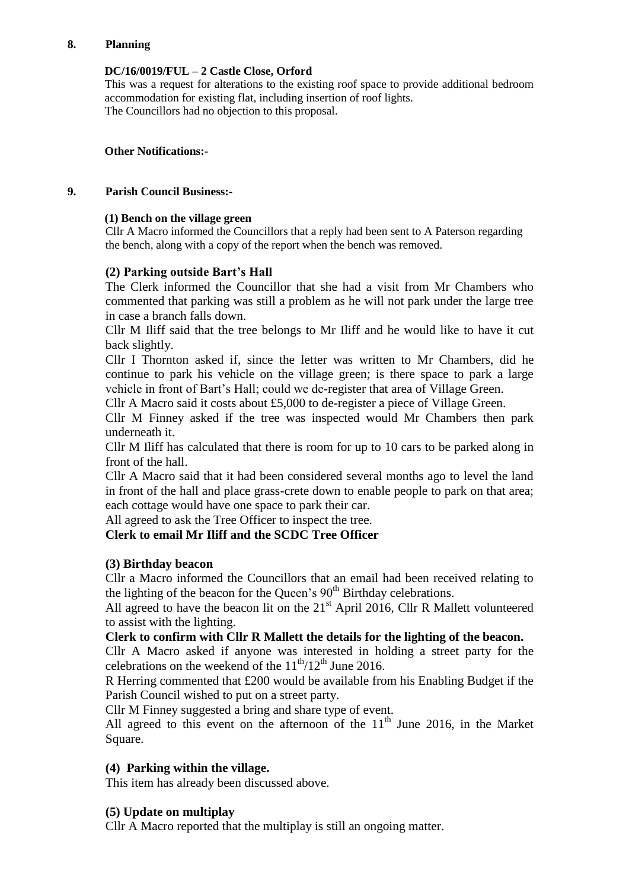## **8. Planning**

#### **DC/16/0019/FUL – 2 Castle Close, Orford**

This was a request for alterations to the existing roof space to provide additional bedroom accommodation for existing flat, including insertion of roof lights. The Councillors had no objection to this proposal.

#### **Other Notifications:-**

#### **9. Parish Council Business:-**

#### **(1) Bench on the village green**

Cllr A Macro informed the Councillors that a reply had been sent to A Paterson regarding the bench, along with a copy of the report when the bench was removed.

# **(2) Parking outside Bart's Hall**

The Clerk informed the Councillor that she had a visit from Mr Chambers who commented that parking was still a problem as he will not park under the large tree in case a branch falls down.

Cllr M Iliff said that the tree belongs to Mr Iliff and he would like to have it cut back slightly.

Cllr I Thornton asked if, since the letter was written to Mr Chambers, did he continue to park his vehicle on the village green; is there space to park a large vehicle in front of Bart's Hall; could we de-register that area of Village Green.

Cllr A Macro said it costs about  $£5,000$  to de-register a piece of Village Green.

Cllr M Finney asked if the tree was inspected would Mr Chambers then park underneath it.

Cllr M Iliff has calculated that there is room for up to 10 cars to be parked along in front of the hall.

Cllr A Macro said that it had been considered several months ago to level the land in front of the hall and place grass-crete down to enable people to park on that area; each cottage would have one space to park their car.

All agreed to ask the Tree Officer to inspect the tree.

## **Clerk to email Mr Iliff and the SCDC Tree Officer**

## **(3) Birthday beacon**

Cllr a Macro informed the Councillors that an email had been received relating to the lighting of the beacon for the Queen's  $90<sup>th</sup>$  Birthday celebrations.

All agreed to have the beacon lit on the  $21<sup>st</sup>$  April 2016, Cllr R Mallett volunteered to assist with the lighting.

## **Clerk to confirm with Cllr R Mallett the details for the lighting of the beacon.**

Cllr A Macro asked if anyone was interested in holding a street party for the celebrations on the weekend of the  $11^{th}/12^{th}$  June 2016.

R Herring commented that £200 would be available from his Enabling Budget if the Parish Council wished to put on a street party.

Cllr M Finney suggested a bring and share type of event.

All agreed to this event on the afternoon of the  $11<sup>th</sup>$  June 2016, in the Market Square.

## **(4) Parking within the village.**

This item has already been discussed above.

## **(5) Update on multiplay**

Cllr A Macro reported that the multiplay is still an ongoing matter.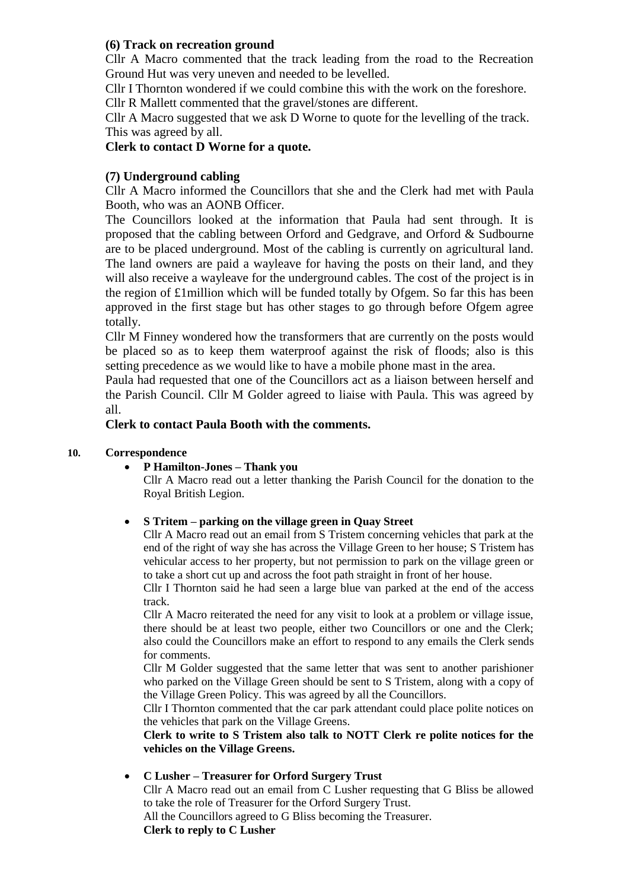## **(6) Track on recreation ground**

Cllr A Macro commented that the track leading from the road to the Recreation Ground Hut was very uneven and needed to be levelled.

Cllr I Thornton wondered if we could combine this with the work on the foreshore. Cllr R Mallett commented that the gravel/stones are different.

Cllr A Macro suggested that we ask D Worne to quote for the levelling of the track. This was agreed by all.

# **Clerk to contact D Worne for a quote.**

# **(7) Underground cabling**

Cllr A Macro informed the Councillors that she and the Clerk had met with Paula Booth, who was an AONB Officer.

The Councillors looked at the information that Paula had sent through. It is proposed that the cabling between Orford and Gedgrave, and Orford & Sudbourne are to be placed underground. Most of the cabling is currently on agricultural land. The land owners are paid a wayleave for having the posts on their land, and they will also receive a wayleave for the underground cables. The cost of the project is in the region of  $\pounds$ 1 million which will be funded totally by Ofgem. So far this has been approved in the first stage but has other stages to go through before Ofgem agree totally.

Cllr M Finney wondered how the transformers that are currently on the posts would be placed so as to keep them waterproof against the risk of floods; also is this setting precedence as we would like to have a mobile phone mast in the area.

Paula had requested that one of the Councillors act as a liaison between herself and the Parish Council. Cllr M Golder agreed to liaise with Paula. This was agreed by all.

## **Clerk to contact Paula Booth with the comments.**

## **10. Correspondence**

## **P Hamilton-Jones – Thank you**

Cllr A Macro read out a letter thanking the Parish Council for the donation to the Royal British Legion.

## **S Tritem – parking on the village green in Quay Street**

Cllr A Macro read out an email from S Tristem concerning vehicles that park at the end of the right of way she has across the Village Green to her house; S Tristem has vehicular access to her property, but not permission to park on the village green or to take a short cut up and across the foot path straight in front of her house.

Cllr I Thornton said he had seen a large blue van parked at the end of the access track.

Cllr A Macro reiterated the need for any visit to look at a problem or village issue, there should be at least two people, either two Councillors or one and the Clerk; also could the Councillors make an effort to respond to any emails the Clerk sends for comments.

Cllr M Golder suggested that the same letter that was sent to another parishioner who parked on the Village Green should be sent to S Tristem, along with a copy of the Village Green Policy. This was agreed by all the Councillors.

Cllr I Thornton commented that the car park attendant could place polite notices on the vehicles that park on the Village Greens.

**Clerk to write to S Tristem also talk to NOTT Clerk re polite notices for the vehicles on the Village Greens.**

## **C Lusher – Treasurer for Orford Surgery Trust**

Cllr A Macro read out an email from C Lusher requesting that G Bliss be allowed to take the role of Treasurer for the Orford Surgery Trust.

All the Councillors agreed to G Bliss becoming the Treasurer. **Clerk to reply to C Lusher**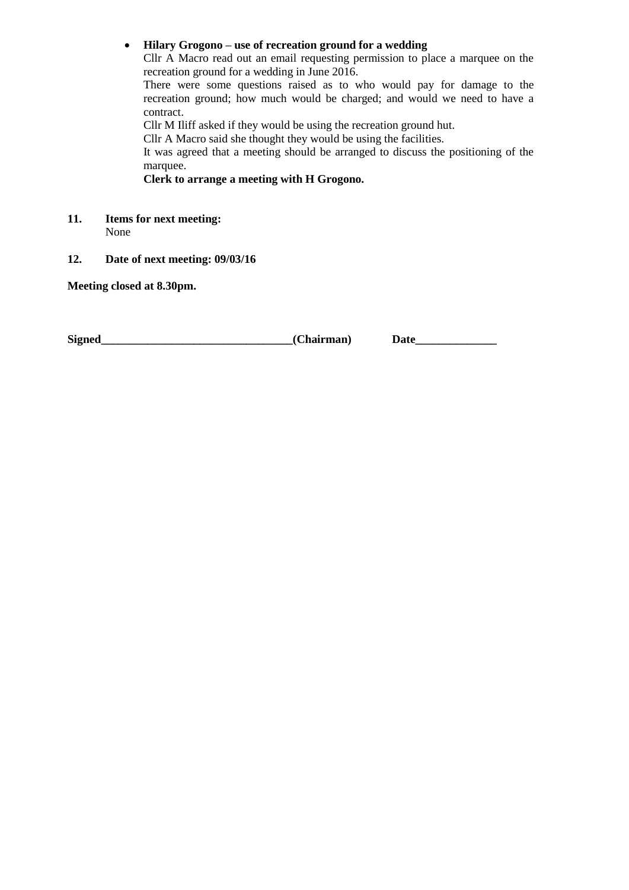**Hilary Grogono – use of recreation ground for a wedding**

Cllr A Macro read out an email requesting permission to place a marquee on the recreation ground for a wedding in June 2016.

There were some questions raised as to who would pay for damage to the recreation ground; how much would be charged; and would we need to have a contract.

Cllr M Iliff asked if they would be using the recreation ground hut.

Cllr A Macro said she thought they would be using the facilities.

It was agreed that a meeting should be arranged to discuss the positioning of the marquee.

**Clerk to arrange a meeting with H Grogono.**

- **11. Items for next meeting:** None
- **12. Date of next meeting: 09/03/16**

**Meeting closed at 8.30pm.**

**Signed\_\_\_\_\_\_\_\_\_\_\_\_\_\_\_\_\_\_\_\_\_\_\_\_\_\_\_\_\_\_\_\_\_(Chairman) Date\_\_\_\_\_\_\_\_\_\_\_\_\_\_**